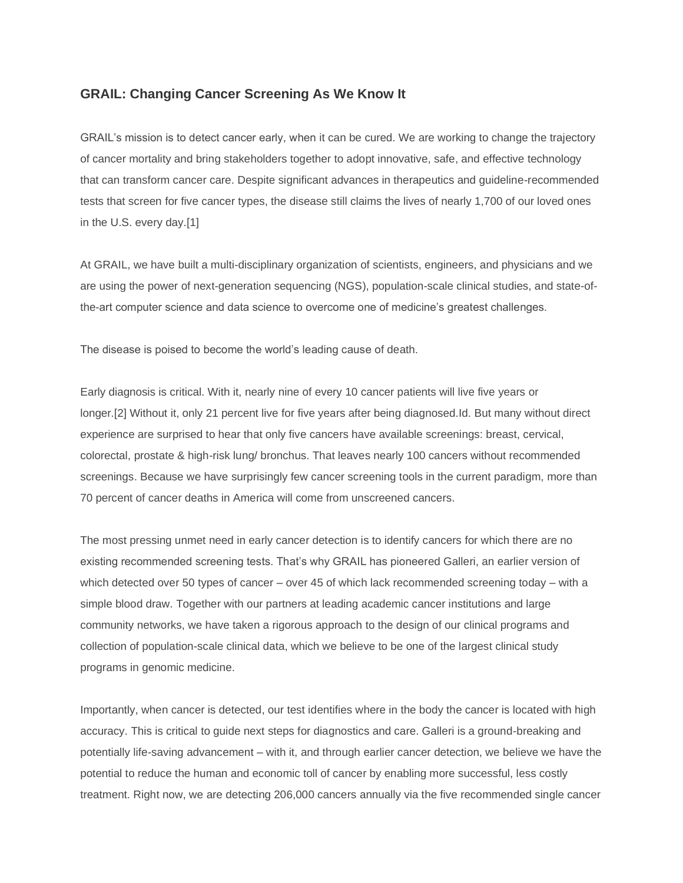## **GRAIL: Changing Cancer Screening As We Know It**

GRAIL's mission is to detect cancer early, when it can be cured. We are working to change the trajectory of cancer mortality and bring stakeholders together to adopt innovative, safe, and effective technology that can transform cancer care. Despite significant advances in therapeutics and guideline-recommended tests that screen for five cancer types, the disease still claims the lives of nearly 1,700 of our loved ones in the U.S. every day.[1]

At GRAIL, we have built a multi-disciplinary organization of scientists, engineers, and physicians and we are using the power of next-generation sequencing (NGS), population-scale clinical studies, and state-ofthe-art computer science and data science to overcome one of medicine's greatest challenges.

The disease is poised to become the world's leading cause of death.

Early diagnosis is critical. With it, nearly nine of every 10 cancer patients will live five years or longer.[2] Without it, only 21 percent live for five years after being diagnosed.Id. But many without direct experience are surprised to hear that only five cancers have available screenings: breast, cervical, colorectal, prostate & high-risk lung/ bronchus. That leaves nearly 100 cancers without recommended screenings. Because we have surprisingly few cancer screening tools in the current paradigm, more than 70 percent of cancer deaths in America will come from unscreened cancers.

The most pressing unmet need in early cancer detection is to identify cancers for which there are no existing recommended screening tests. That's why GRAIL has pioneered Galleri, an earlier version of which detected over 50 types of cancer – over 45 of which lack recommended screening today – with a simple blood draw. Together with our partners at leading academic cancer institutions and large community networks, we have taken a rigorous approach to the design of our clinical programs and collection of population-scale clinical data, which we believe to be one of the largest clinical study programs in genomic medicine.

Importantly, when cancer is detected, our test identifies where in the body the cancer is located with high accuracy. This is critical to guide next steps for diagnostics and care. Galleri is a ground-breaking and potentially life-saving advancement – with it, and through earlier cancer detection, we believe we have the potential to reduce the human and economic toll of cancer by enabling more successful, less costly treatment. Right now, we are detecting 206,000 cancers annually via the five recommended single cancer